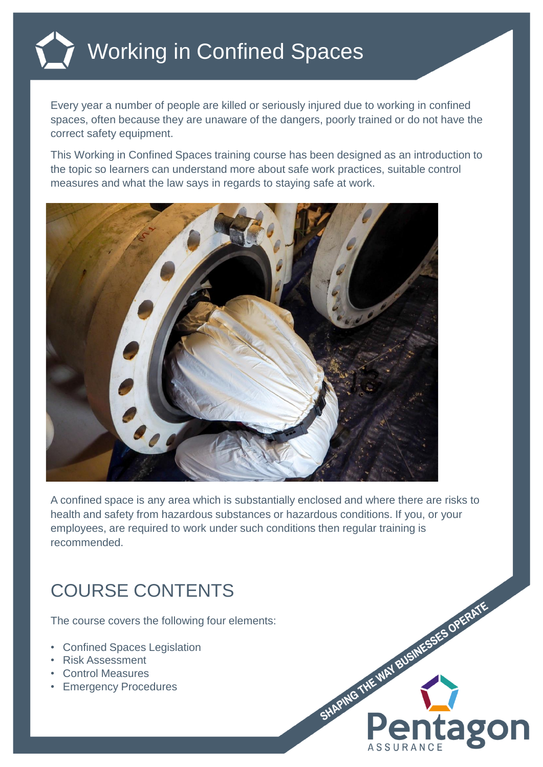

## Working in Confined Spaces

Every year a number of people are killed or seriously injured due to working in confined spaces, often because they are unaware of the dangers, poorly trained or do not have the correct safety equipment.

This Working in Confined Spaces training course has been designed as an introduction to the topic so learners can understand more about safe work practices, suitable control measures and what the law says in regards to staying safe at work.



A confined space is any area which is substantially enclosed and where there are risks to health and safety from hazardous substances or hazardous conditions. If you, or your employees, are required to work under such conditions then regular training is recommended.

## COURSE CONTENTS

The course covers the following four elements:

- Confined Spaces Legislation
- Risk Assessment
- Control Measures
- Emergency Procedures